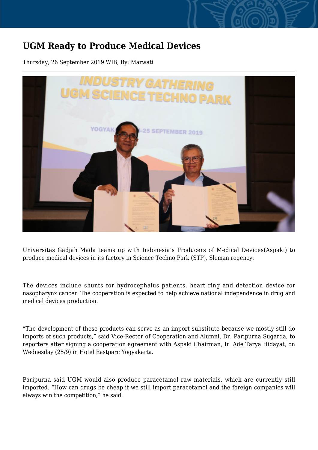## **UGM Ready to Produce Medical Devices**

Thursday, 26 September 2019 WIB, By: Marwati



Universitas Gadjah Mada teams up with Indonesia's Producers of Medical Devices(Aspaki) to produce medical devices in its factory in Science Techno Park (STP), Sleman regency.

The devices include shunts for hydrocephalus patients, heart ring and detection device for nasopharynx cancer. The cooperation is expected to help achieve national independence in drug and medical devices production.

"The development of these products can serve as an import substitute because we mostly still do imports of such products," said Vice-Rector of Cooperation and Alumni, Dr. Paripurna Sugarda, to reporters after signing a cooperation agreement with Aspaki Chairman, Ir. Ade Tarya Hidayat, on Wednesday (25/9) in Hotel Eastparc Yogyakarta.

Paripurna said UGM would also produce paracetamol raw materials, which are currently still imported. "How can drugs be cheap if we still import paracetamol and the foreign companies will always win the competition," he said.